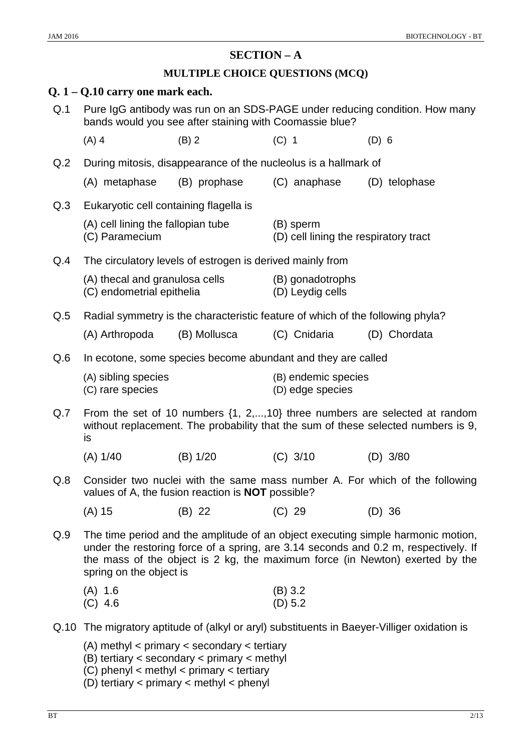# **SECTION – A**

# **MULTIPLE CHOICE QUESTIONS (MCQ)**

|     | $Q. 1 - Q.10$ carry one mark each.                                                                                                                                                                                                                                                 |                                                                                |                                                    |                                                                                             |  |  |  |  |  |  |
|-----|------------------------------------------------------------------------------------------------------------------------------------------------------------------------------------------------------------------------------------------------------------------------------------|--------------------------------------------------------------------------------|----------------------------------------------------|---------------------------------------------------------------------------------------------|--|--|--|--|--|--|
| Q.1 | Pure IgG antibody was run on an SDS-PAGE under reducing condition. How many<br>bands would you see after staining with Coomassie blue?                                                                                                                                             |                                                                                |                                                    |                                                                                             |  |  |  |  |  |  |
|     | $(A)$ 4                                                                                                                                                                                                                                                                            | $(B)$ 2                                                                        | $(C)$ 1                                            | $(D)$ 6                                                                                     |  |  |  |  |  |  |
| Q.2 | During mitosis, disappearance of the nucleolus is a hallmark of                                                                                                                                                                                                                    |                                                                                |                                                    |                                                                                             |  |  |  |  |  |  |
|     | (A) metaphase                                                                                                                                                                                                                                                                      | (B) prophase                                                                   | (C) anaphase                                       | (D) telophase                                                                               |  |  |  |  |  |  |
| Q.3 | Eukaryotic cell containing flagella is                                                                                                                                                                                                                                             |                                                                                |                                                    |                                                                                             |  |  |  |  |  |  |
|     | (A) cell lining the fallopian tube<br>(C) Paramecium                                                                                                                                                                                                                               |                                                                                | (B) sperm<br>(D) cell lining the respiratory tract |                                                                                             |  |  |  |  |  |  |
| Q.4 |                                                                                                                                                                                                                                                                                    | The circulatory levels of estrogen is derived mainly from                      |                                                    |                                                                                             |  |  |  |  |  |  |
|     | (A) thecal and granulosa cells<br>(C) endometrial epithelia                                                                                                                                                                                                                        |                                                                                | (B) gonadotrophs<br>(D) Leydig cells               |                                                                                             |  |  |  |  |  |  |
| Q.5 |                                                                                                                                                                                                                                                                                    | Radial symmetry is the characteristic feature of which of the following phyla? |                                                    |                                                                                             |  |  |  |  |  |  |
|     | (A) Arthropoda                                                                                                                                                                                                                                                                     | (B) Mollusca                                                                   | (C) Cnidaria                                       | (D) Chordata                                                                                |  |  |  |  |  |  |
| Q.6 | In ecotone, some species become abundant and they are called                                                                                                                                                                                                                       |                                                                                |                                                    |                                                                                             |  |  |  |  |  |  |
|     | (A) sibling species<br>(C) rare species                                                                                                                                                                                                                                            |                                                                                | (B) endemic species<br>(D) edge species            |                                                                                             |  |  |  |  |  |  |
| Q.7 | From the set of 10 numbers $\{1, 2, \ldots, 10\}$ three numbers are selected at random<br>without replacement. The probability that the sum of these selected numbers is 9,<br>is                                                                                                  |                                                                                |                                                    |                                                                                             |  |  |  |  |  |  |
|     | (A) 1/40                                                                                                                                                                                                                                                                           | (B) 1/20                                                                       | $(C)$ 3/10                                         | $(D)$ 3/80                                                                                  |  |  |  |  |  |  |
| Q.8 |                                                                                                                                                                                                                                                                                    | values of A, the fusion reaction is <b>NOT</b> possible?                       |                                                    | Consider two nuclei with the same mass number A. For which of the following                 |  |  |  |  |  |  |
|     | $(A)$ 15                                                                                                                                                                                                                                                                           | (B) 22                                                                         | $(C)$ 29                                           | $(D)$ 36                                                                                    |  |  |  |  |  |  |
| Q.9 | The time period and the amplitude of an object executing simple harmonic motion,<br>under the restoring force of a spring, are 3.14 seconds and 0.2 m, respectively. If<br>the mass of the object is 2 kg, the maximum force (in Newton) exerted by the<br>spring on the object is |                                                                                |                                                    |                                                                                             |  |  |  |  |  |  |
|     | $(A)$ 1.6<br>$(C)$ 4.6                                                                                                                                                                                                                                                             |                                                                                | $(B)$ 3.2<br>(D) 5.2                               |                                                                                             |  |  |  |  |  |  |
|     |                                                                                                                                                                                                                                                                                    |                                                                                |                                                    | Q.10 The migratory aptitude of (alkyl or aryl) substituents in Baeyer-Villiger oxidation is |  |  |  |  |  |  |
|     | $(A)$ methyl < primary < secondary < tertiary<br>$(B)$ tertiary < secondary < primary < methyl<br>$(C)$ phenyl < methyl < primary < tertiary<br>(D) tertiary $\langle$ primary $\langle$ methyl $\langle$ phenyl                                                                   |                                                                                |                                                    |                                                                                             |  |  |  |  |  |  |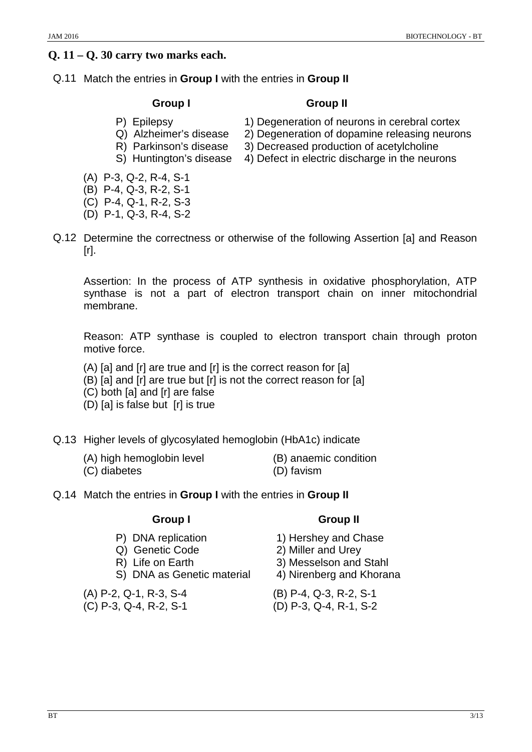# **Q. 11 – Q. 30 carry two marks each.**

# Q.11 Match the entries in **Group I** with the entries in **Group II**

# **Group I Group II**

- 
- Q) Alzheimer's disease 2) Degeneration of dopamine releasing neurons
- R) Parkinson's disease 3) Decreased production of acetylcholine
- 
- (A) P-3, Q-2, R-4, S-1
- (B) P-4, Q-3, R-2, S-1
- (C) P-4, Q-1, R-2, S-3
- (D) P-1, Q-3, R-4, S-2
- Q.12 Determine the correctness or otherwise of the following Assertion [a] and Reason  $[r]$ .

Assertion: In the process of ATP synthesis in oxidative phosphorylation, ATP synthase is not a part of electron transport chain on inner mitochondrial membrane.

Reason: ATP synthase is coupled to electron transport chain through proton motive force.

- (A) [a] and [r] are true and [r] is the correct reason for [a]
- (B) [a] and [r] are true but [r] is not the correct reason for [a]
- (C) both [a] and [r] are false
- (D) [a] is false but [r] is true
- Q.13 Higher levels of glycosylated hemoglobin (HbA1c) indicate
	- (A) high hemoglobin level (B) anaemic condition
	- (C) diabetes (D) favism
- Q.14 Match the entries in **Group I** with the entries in **Group II**

- 
- 
- 
- S) DNA as Genetic material 4) Nirenberg and Khorana

(A) P-2, Q-1, R-3, S-4 (B) P-4, Q-3, R-2, S-1

(C) P-3, Q-4, R-2, S-1 (D) P-3, Q-4, R-1, S-2

# **Group I** Group II

- P) DNA replication 1) Hershey and Chase
- Q) Genetic Code 2) Miller and Urey
- R) Life on Earth 3) Messelson and Stahl
	-
	-
	-
- 
- P) Epilepsy 1) Degeneration of neurons in cerebral cortex
	-
- S) Huntington's disease 4) Defect in electric discharge in the neurons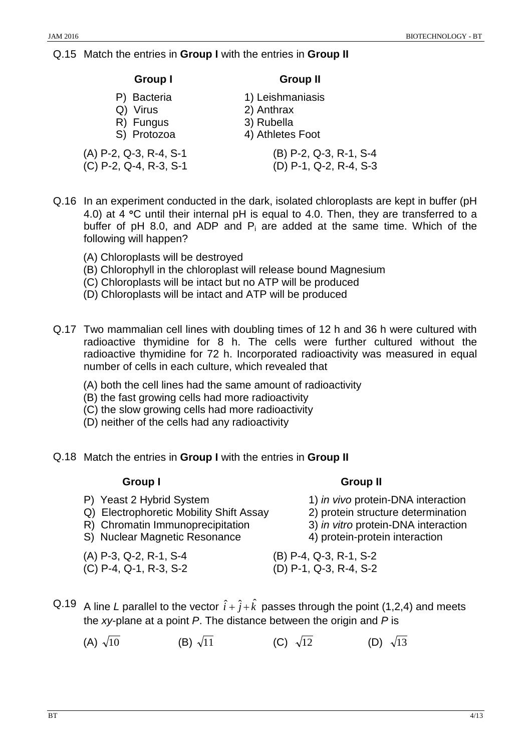## Q.15 Match the entries in **Group I** with the entries in **Group II**

#### **Group I Group II**

- 
- Q) Virus 2) Anthrax
- 
- R) Fungus 3) Rubella<br>
S) Protozoa (4) Athletes

(A) P-2, Q-3, R-4, S-1  $(C)$  P-2, Q-4, R-3, S-1  $(D)$ 

- P) Bacteria 1) Leishmaniasis
	-
	- 4) Athletes Foot

| (B) P-2, Q-3, R-1, S-4   |  |  |
|--------------------------|--|--|
| $(D)$ P-1, Q-2, R-4, S-3 |  |  |

- Q.16 In an experiment conducted in the dark, isolated chloroplasts are kept in buffer (pH 4.0) at 4 °C until their internal pH is equal to 4.0. Then, they are transferred to a buffer of pH 8.0, and ADP and  $P_i$  are added at the same time. Which of the following will happen?
	- (A) Chloroplasts will be destroyed
	- (B) Chlorophyll in the chloroplast will release bound Magnesium
	- (C) Chloroplasts will be intact but no ATP will be produced
	- (D) Chloroplasts will be intact and ATP will be produced
- Q.17 Two mammalian cell lines with doubling times of 12 h and 36 h were cultured with radioactive thymidine for 8 h. The cells were further cultured without the radioactive thymidine for 72 h. Incorporated radioactivity was measured in equal number of cells in each culture, which revealed that
	- (A) both the cell lines had the same amount of radioactivity
	- (B) the fast growing cells had more radioactivity
	- (C) the slow growing cells had more radioactivity
	- (D) neither of the cells had any radioactivity
- Q.18 Match the entries in **Group I** with the entries in **Group II**

## **Group I** Group II

- P) Yeast 2 Hybrid System 1) *in vivo* protein-DNA interaction
- Q) Electrophoretic Mobility Shift Assay 2) protein structure determination
- R) Chromatin Immunoprecipitation 3) *in vitro* protein-DNA interaction
- S) Nuclear Magnetic Resonance 4) protein-protein interaction
- 
- 
- Q.19 A line *L* parallel to the vector  $\hat{i} + \hat{j} + \hat{k}$  passes through the point (1,2,4) and meets the *xy*-plane at a point *P*. The distance between the origin and *P* is
	- (A)  $\sqrt{10}$  (B)  $\sqrt{11}$  (C)  $\sqrt{12}$  (D)  $\sqrt{13}$

- 
- 
- 

- 
- (A) P-3, Q-2, R-1, S-4 (B) P-4, Q-3, R-1, S-2 (C) P-4, Q-1, R-3, S-2 (D) P-1, Q-3, R-4, S-2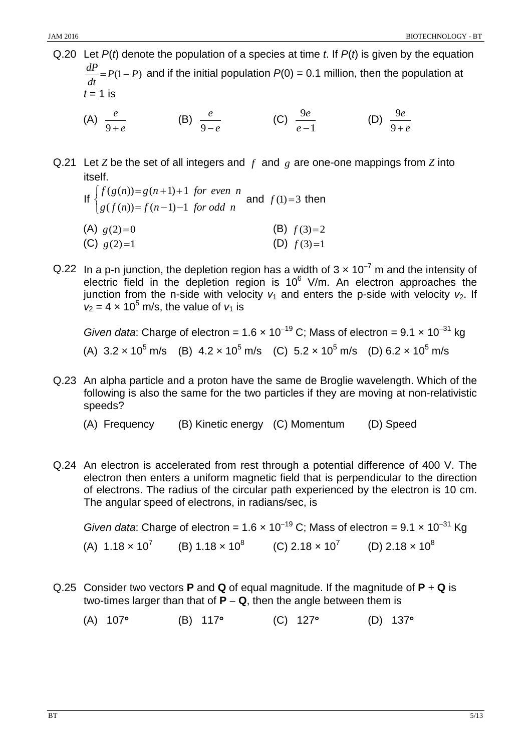Q.20 Let *P*(*t*) denote the population of a species at time *t*. If *P*(*t*) is given by the equation  $\frac{dP}{dt}$  =  $P(1 - P)$  and if the initial population  $P(0)$  = 0.1 million, then the population at  $t = 1$  is

(A) *e e* 9 + (B) *e*  $\frac{e}{9-e}$  (C)  $\frac{9e}{e-1}$ *e* −  $\frac{e}{f}$  (D) *e e*  $9+$ 9

- Q.21 Let *Z* be the set of all integers and *f* and *g* are one-one mappings from *Z* into itself.
	- If  $\overline{\mathcal{L}}$ ₹  $\left\lceil \right\rceil$  $=f(n-1)$  $= g(n+1) +$  $g(f(n)) = f(n-1) - 1$  *for odd n*  $f(g(n)) = g(n+1)+1$  for even *n*  $(f(n)) = f(n-1) - 1$  $(g(n)) = g(n+1) + 1$ and  $f(1)=3$  then (A)  $g(2)=0$  (B)  $f(3)=2$ (C)  $g(2)=1$  (D)  $f(3)=1$
- Q.22 In a p-n junction, the depletion region has a width of  $3 \times 10^{-7}$  m and the intensity of electric field in the depletion region is  $10^6$  V/m. An electron approaches the junction from the n-side with velocity  $v_1$  and enters the p-side with velocity  $v_2$ . If  $v_2 = 4 \times 10^5$  m/s, the value of  $v_1$  is

*Given data*: Charge of electron =  $1.6 \times 10^{-19}$  C; Mass of electron =  $9.1 \times 10^{-31}$  kg (A)  $3.2 \times 10^5$  m/s (B)  $4.2 \times 10^5$  m/s (C)  $5.2 \times 10^5$  m/s (D)  $6.2 \times 10^5$  m/s

- Q.23 An alpha particle and a proton have the same de Broglie wavelength. Which of the following is also the same for the two particles if they are moving at non-relativistic speeds?
	- (A) Frequency (B) Kinetic energy (C) Momentum (D) Speed
- Q.24 An electron is accelerated from rest through a potential difference of 400 V. The electron then enters a uniform magnetic field that is perpendicular to the direction of electrons. The radius of the circular path experienced by the electron is 10 cm. The angular speed of electrons, in radians/sec, is

*Given data*: Charge of electron =  $1.6 \times 10^{-19}$  C; Mass of electron =  $9.1 \times 10^{-31}$  Kg (A)  $1.18 \times 10^7$  (B)  $1.18 \times 10^8$  (C)  $2.18 \times 10^7$  (D)  $2.18 \times 10^8$ 

- Q.25 Consider two vectors **P** and **Q** of equal magnitude. If the magnitude of **P** + **Q** is two-times larger than that of  $P - Q$ , then the angle between them is
	- (A) 107° (B) 117° (C) 127° (D) 137°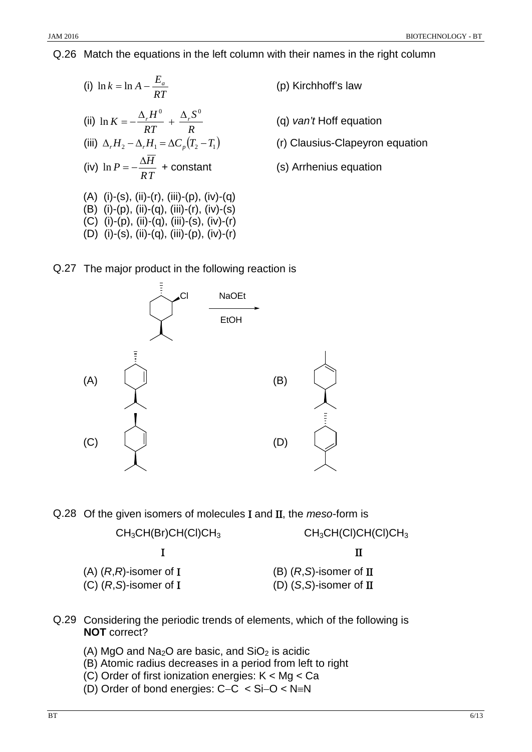Q.26 Match the equations in the left column with their names in the right column

(i) 
$$
\ln k = \ln A - \frac{E_a}{RT}
$$
  
\n(ii)  $\ln K = -\frac{\Delta_r H^0}{RT} + \frac{\Delta_r S^0}{R}$   
\n(iii)  $\Delta_r H_2 - \Delta_r H_1 = \Delta C_p (T_2 - T_1)$   
\n(iv)  $\ln P = -\frac{\Delta \overline{H}}{RT} + \text{constant}$   
\n(A) (i)-(s), (ii)-(r), (iii)-(p), (iv)-(q)  
\n(B) (i)-(p), (ii)-(q), (iii)-(r), (iv)-(s)  
\n(C) (i)-(p), (ii)-(q), (iii)-(s), (iv)-(r)  
\n(D) (i)-(s), (ii)-(q), (iii)-(p), (iv)-(r)

- **(p)** Kirchhoff's law
- <sup>∆</sup> <sup>=</sup> <sup>−</sup> (q) *van't* Hoff equation
- (r) Clausius-Clapeyron equation
- **(s) Arrhenius equation**

# Q.27 The major product in the following reaction is



Q.28 Of the given isomers of molecules Ι and ΙΙ, the *meso*-form is

## $CH_3CH(Br)CH(Cl)CH_3$  CH<sub>3</sub>CH(Cl)CH(Cl)CH<sub>3</sub>

Ι ΙΙ

(A) (*R*,*R*)-isomer of Ι (B) (*R*,*S*)-isomer of ΙΙ (C) (*R*,*S*)-isomer of Ι (D) (*S*,*S*)-isomer of ΙΙ

- Q.29 Considering the periodic trends of elements, which of the following is **NOT** correct?
	- (A) MgO and  $Na<sub>2</sub>O$  are basic, and  $SiO<sub>2</sub>$  is acidic
	- (B) Atomic radius decreases in a period from left to right
	- (C) Order of first ionization energies: K < Mg < Ca
	- (D) Order of bond energies: C−C < Si−O < N≡N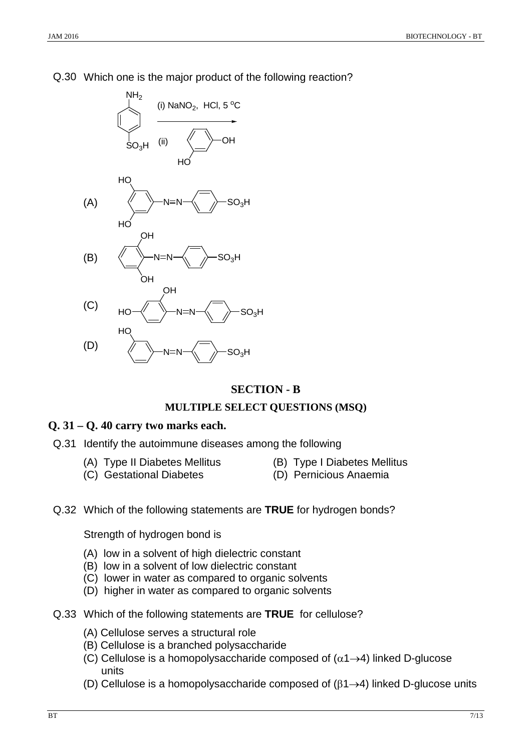## Q.30 Which one is the major product of the following reaction?



## **SECTION - B**

#### **MULTIPLE SELECT QUESTIONS (MSQ)**

#### **Q. 31 – Q. 40 carry two marks each.**

- Q.31 Identify the autoimmune diseases among the following
	- (A) Type II Diabetes Mellitus (B) Type I Diabetes Mellitus
		-
	- (C) Gestational Diabetes (D) Pernicious Anaemia
- 
- Q.32 Which of the following statements are **TRUE** for hydrogen bonds?

Strength of hydrogen bond is

- (A) low in a solvent of high dielectric constant
- (B) low in a solvent of low dielectric constant
- (C) lower in water as compared to organic solvents
- (D) higher in water as compared to organic solvents
- Q.33 Which of the following statements are **TRUE** for cellulose?
	- (A) Cellulose serves a structural role
	- (B) Cellulose is a branched polysaccharide
	- (C) Cellulose is a homopolysaccharide composed of  $(\alpha_1 \rightarrow 4)$  linked D-glucose units
	- (D) Cellulose is a homopolysaccharide composed of  $(\beta1\rightarrow4)$  linked D-glucose units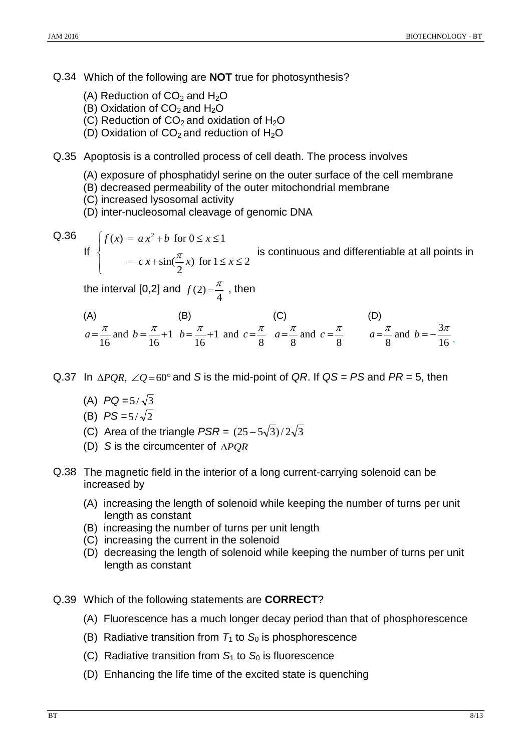Q.34 Which of the following are **NOT** true for photosynthesis?

- (A) Reduction of  $CO<sub>2</sub>$  and  $H<sub>2</sub>O$
- (B) Oxidation of  $CO<sub>2</sub>$  and  $H<sub>2</sub>O$
- (C) Reduction of  $CO<sub>2</sub>$  and oxidation of H<sub>2</sub>O
- (D) Oxidation of  $CO<sub>2</sub>$  and reduction of  $H<sub>2</sub>O$
- Q.35 Apoptosis is a controlled process of cell death. The process involves
	- (A) exposure of phosphatidyl serine on the outer surface of the cell membrane
	- (B) decreased permeability of the outer mitochondrial membrane
	- (C) increased lysosomal activity
	- (D) inter-nucleosomal cleavage of genomic DNA

$$
\begin{array}{c}\n\text{Q.36} \\
\text{If} \n\end{array}
$$

 $\overline{\mathcal{L}}$ 

 $= c x + sin(\frac{\pi}{2}x)$  for  $1 \le x \le$  $= a x^2 + b$  for  $0 \le x \le$  $\sin(\frac{\pi}{2}x)$  for  $1 \le x \le 2$  $(x) = a x^2 + b$  for  $0 \le x \le 1$  $c x + sin(\frac{\pi}{2}x)$  for  $1 \leq x$  $f(x) = ax^2 + b$  for  $0 \le x$  $\pi$  is continuous and differentiable at all points in

the interval [0,2] and  $f(2) = \frac{\pi}{4}$ , then

(A) (B) (C) (D)   
\n
$$
a = \frac{\pi}{16}
$$
 and  $b = \frac{\pi}{16} + 1$   $b = \frac{\pi}{16} + 1$  and  $c = \frac{\pi}{8}$   $a = \frac{\pi}{8}$  and  $c = \frac{\pi}{8}$   $a = \frac{\pi}{8}$  and  $b = -\frac{3\pi}{16}$ 

- Q.37 In ∆*PQR*, ∠*Q* =60° and *S* is the mid-point of *QR*. If *QS* = *PS* and *PR* = 5, then
	- (A)  $PQ = 5/\sqrt{3}$
	- (B)  $PS = 5/\sqrt{2}$
	- (C) Area of the triangle  $PSR = (25 5\sqrt{3})/2\sqrt{3}$
	- (D) *S* is the circumcenter of ∆*PQR*
- Q.38 The magnetic field in the interior of a long current-carrying solenoid can be increased by
	- (A) increasing the length of solenoid while keeping the number of turns per unit length as constant
	- (B) increasing the number of turns per unit length
	- (C) increasing the current in the solenoid
	- (D) decreasing the length of solenoid while keeping the number of turns per unit length as constant
- Q.39 Which of the following statements are **CORRECT**?
	- (A) Fluorescence has a much longer decay period than that of phosphorescence
	- (B) Radiative transition from  $T_1$  to  $S_0$  is phosphorescence
	- (C) Radiative transition from  $S_1$  to  $S_0$  is fluorescence
	- (D) Enhancing the life time of the excited state is quenching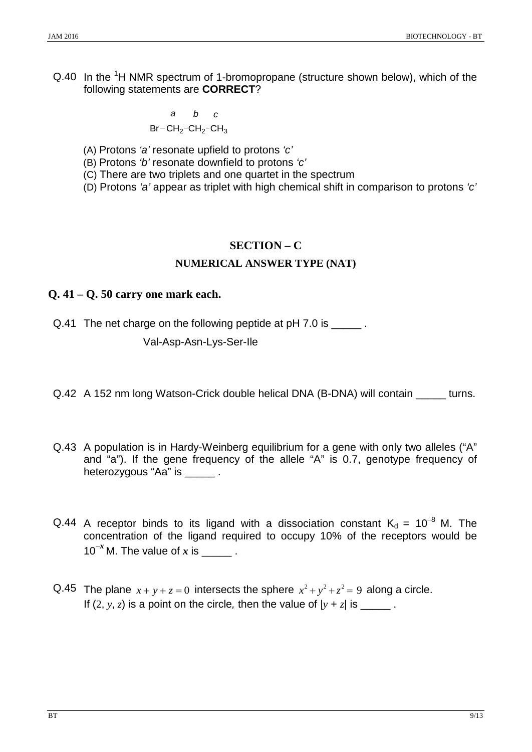Q.40 In the <sup>1</sup>H NMR spectrum of 1-bromopropane (structure shown below), which of the following statements are **CORRECT**?

$$
a \t b \t c
$$
  
Br-CH<sub>2</sub>-CH<sub>2</sub>-CH<sub>3</sub>

(A) Protons *'a'* resonate upfield to protons *'c'*

(B) Protons *'b'* resonate downfield to protons *'c'*

(C) There are two triplets and one quartet in the spectrum

(D) Protons *'a'* appear as triplet with high chemical shift in comparison to protons *'c'*

## **SECTION – C**

## **NUMERICAL ANSWER TYPE (NAT)**

## **Q. 41 – Q. 50 carry one mark each.**

Q.41 The net charge on the following peptide at pH 7.0 is  $\qquad \qquad$ .

Val-Asp-Asn-Lys-Ser-Ile

Q.42 A 152 nm long Watson-Crick double helical DNA (B-DNA) will contain \_\_\_\_\_ turns.

- Q.43 A population is in Hardy-Weinberg equilibrium for a gene with only two alleles ("A" and "a"). If the gene frequency of the allele "A" is 0.7, genotype frequency of heterozygous "Aa" is \_\_\_\_\_\_.
- Q.44 A receptor binds to its ligand with a dissociation constant  $K_d = 10^{-8}$  M. The concentration of the ligand required to occupy 10% of the receptors would be  $10^{-x}$  M. The value of x is  $\qquad \qquad$ .
- Q.45 The plane  $x + y + z = 0$  intersects the sphere  $x^2 + y^2 + z^2 = 9$  along a circle. If  $(2, y, z)$  is a point on the circle, then the value of  $|y + z|$  is \_\_\_\_\_\_.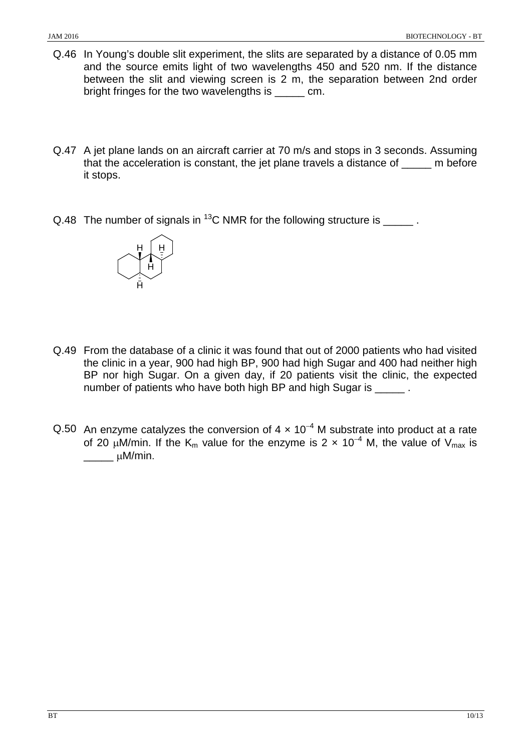- Q.46 In Young's double slit experiment, the slits are separated by a distance of 0.05 mm and the source emits light of two wavelengths 450 and 520 nm. If the distance between the slit and viewing screen is 2 m, the separation between 2nd order bright fringes for the two wavelengths is \_\_\_\_\_ cm.
- Q.47 A jet plane lands on an aircraft carrier at 70 m/s and stops in 3 seconds. Assuming that the acceleration is constant, the jet plane travels a distance of m before it stops.
- Q.48 The number of signals in  $^{13}$ C NMR for the following structure is  $\qquad \qquad$ .



- Q.49 From the database of a clinic it was found that out of 2000 patients who had visited the clinic in a year, 900 had high BP, 900 had high Sugar and 400 had neither high BP nor high Sugar. On a given day, if 20 patients visit the clinic, the expected number of patients who have both high BP and high Sugar is \_\_\_\_\_ .
- Q.50 An enzyme catalyzes the conversion of  $4 \times 10^{-4}$  M substrate into product at a rate of 20 µM/min. If the K<sub>m</sub> value for the enzyme is 2 × 10<sup>-4</sup> M, the value of V<sub>max</sub> is  $\frac{1}{2}$   $\mu$ M/min.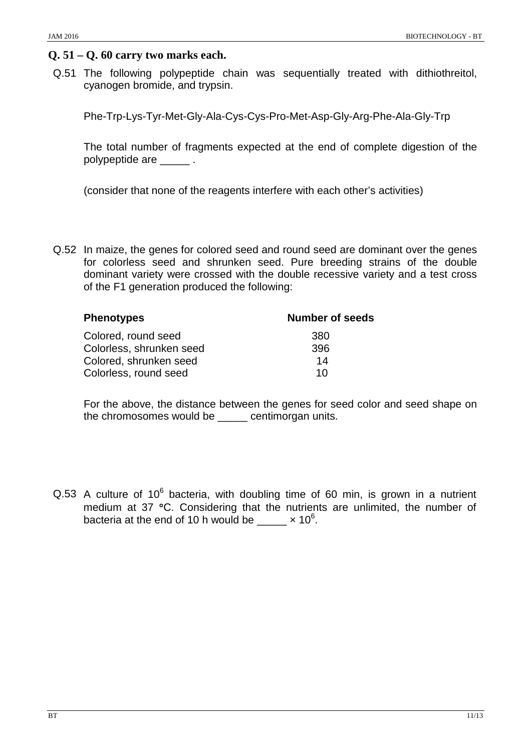## **Q. 51 – Q. 60 carry two marks each.**

Q.51 The following polypeptide chain was sequentially treated with dithiothreitol, cyanogen bromide, and trypsin.

Phe-Trp-Lys-Tyr-Met-Gly-Ala-Cys-Cys-Pro-Met-Asp-Gly-Arg-Phe-Ala-Gly-Trp

The total number of fragments expected at the end of complete digestion of the polypeptide are \_\_\_\_\_ .

(consider that none of the reagents interfere with each other's activities)

Q.52 In maize, the genes for colored seed and round seed are dominant over the genes for colorless seed and shrunken seed. Pure breeding strains of the double dominant variety were crossed with the double recessive variety and a test cross of the F1 generation produced the following:

| <b>Phenotypes</b>        | <b>Number of seeds</b> |
|--------------------------|------------------------|
| Colored, round seed      | 380                    |
| Colorless, shrunken seed | 396                    |
| Colored, shrunken seed   | 14                     |
| Colorless, round seed    | 10                     |

For the above, the distance between the genes for seed color and seed shape on the chromosomes would be \_\_\_\_\_ centimorgan units.

Q.53 A culture of  $10^6$  bacteria, with doubling time of 60 min, is grown in a nutrient medium at 37 °C. Considering that the nutrients are unlimited, the number of bacteria at the end of 10 h would be  $\_\_\_\_\ x$  10<sup>6</sup>.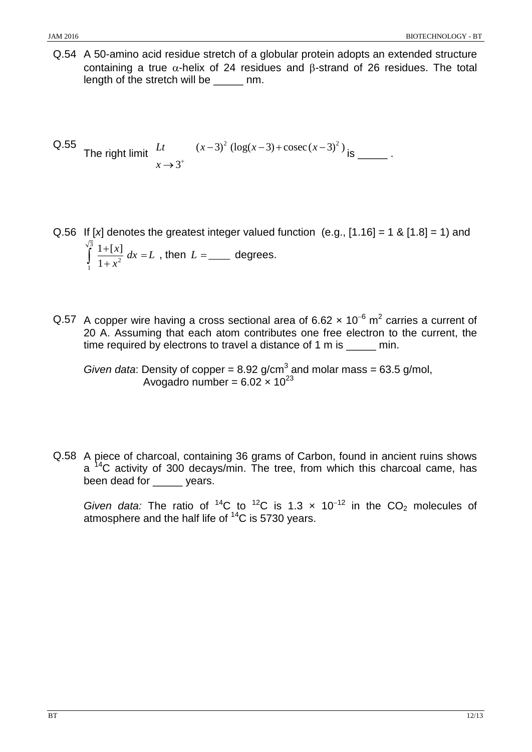Q.54 A 50-amino acid residue stretch of a globular protein adopts an extended structure containing a true α-helix of 24 residues and β-strand of 26 residues. The total length of the stretch will be \_\_\_\_\_ nm.

Q.55 The right limit 
$$
\frac{Lt}{x \to 3^+}
$$
  $(x-3)^2 (\log(x-3) + \csc(x-3)^2)_{\text{is}}$ 

- Q.56 If  $[x]$  denotes the greatest integer valued function  $(e.g., [1.16] = 1 \& [1.8] = 1)$  and  $dx = L$  $\int_{1}^{\sqrt{3}} \frac{1+[x]}{1+x^2} dx =$ 1  $1 + x^2$  $\frac{1+[x]}{1+x^2}$  dx = L, then  $L =$  \_\_\_\_\_\_ degrees.
- Q.57 A copper wire having a cross sectional area of 6.62  $\times$  10<sup>-6</sup> m<sup>2</sup> carries a current of 20 A. Assuming that each atom contributes one free electron to the current, the time required by electrons to travel a distance of 1 m is min.

*Given data*: Density of copper =  $8.92$  g/cm<sup>3</sup> and molar mass =  $63.5$  g/mol, Avogadro number =  $6.02 \times 10^{23}$ 

Q.58 A piece of charcoal, containing 36 grams of Carbon, found in ancient ruins shows  $a<sup>14</sup>C$  activity of 300 decays/min. The tree, from which this charcoal came, has been dead for vears.

*Given data:* The ratio of <sup>14</sup>C to <sup>12</sup>C is 1.3  $\times$  10<sup>-12</sup> in the CO<sub>2</sub> molecules of atmosphere and the half life of  $14C$  is 5730 years.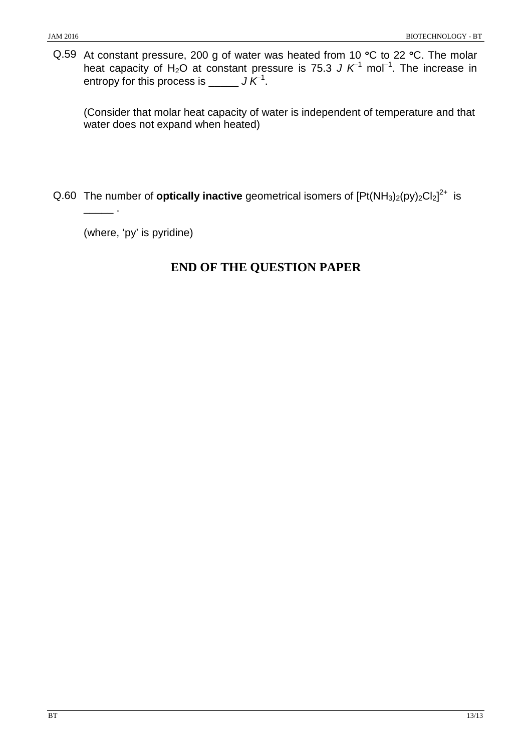Q.59 At constant pressure, 200 g of water was heated from 10 °C to 22 °C. The molar heat capacity of H<sub>2</sub>O at constant pressure is 75.3 *J K*<sup>-1</sup> mol<sup>-1</sup>. The increase in entropy for this process is \_\_\_\_\_ *J K*<sup>−</sup><sup>1</sup> .

(Consider that molar heat capacity of water is independent of temperature and that water does not expand when heated)

Q.60 The number of **optically inactive** geometrical isomers of [Pt(NH<sub>3</sub>)<sub>2</sub>(py)<sub>2</sub>Cl<sub>2</sub>]<sup>2+</sup> is

(where, 'py' is pyridine)

\_\_\_\_\_ .

# **END OF THE QUESTION PAPER**